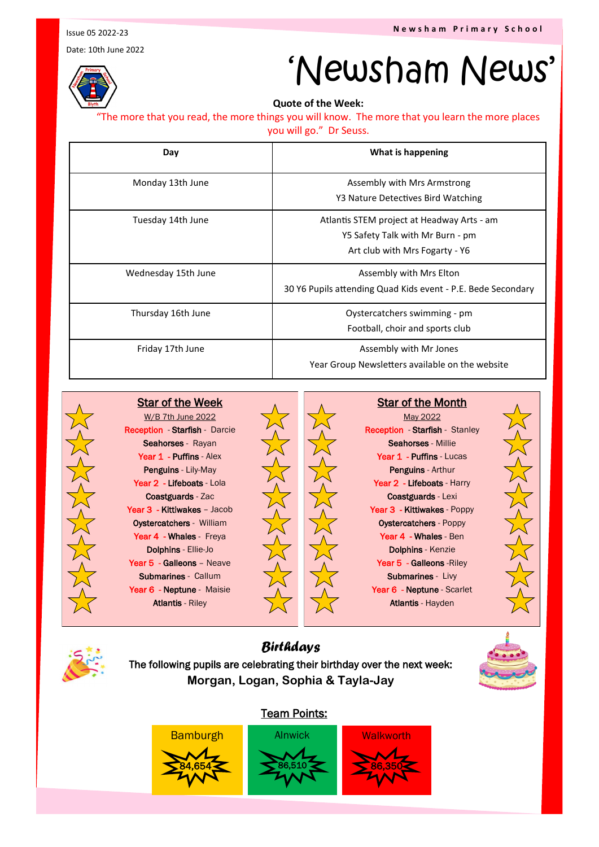Date: 10th June 2022



## 'Newsham News'

**Quote of the Week:** 

"The more that you read, the more things you will know. The more that you learn the more places you will go." Dr Seuss.

| Day                 | What is happening                                                                                                |
|---------------------|------------------------------------------------------------------------------------------------------------------|
| Monday 13th June    | Assembly with Mrs Armstrong<br>Y3 Nature Detectives Bird Watching                                                |
| Tuesday 14th June   | Atlantis STEM project at Headway Arts - am<br>Y5 Safety Talk with Mr Burn - pm<br>Art club with Mrs Fogarty - Y6 |
| Wednesday 15th June | Assembly with Mrs Elton<br>30 Y6 Pupils attending Quad Kids event - P.E. Bede Secondary                          |
| Thursday 16th June  | Oystercatchers swimming - pm<br>Football, choir and sports club                                                  |
| Friday 17th June    | Assembly with Mr Jones<br>Year Group Newsletters available on the website                                        |



W/B 7th June 2022 Reception - Starfish - Darcie Seahorses - Rayan Year 1 - Puffins - Alex Penguins - Lily-May Year 2 - Lifeboats - Lola Coastguards - Zac Year 3 - Kittiwakes - Jacob Oystercatchers - William Year 4 - Whales - Freya Dolphins - Ellie-Jo Year 5 - Galleons - Neave Submarines - Callum Year 6 - Neptune - Maisie Atlantis - Riley

Star of the Week



Star of the Month

May 2022 Reception - Starfish - Stanley Seahorses - Millie Year 1 - Puffins - Lucas Penguins - Arthur Year 2 - Lifeboats - Harry Coastguards - Lexi Year 3 - Kittiwakes - Poppy Oystercatchers - Poppy Year 4 - Whales - Ben Dolphins - Kenzie Year 5 - Galleons - Riley Submarines - Livy Year 6 - Neptune - Scarlet Atlantis - Hayden





*Birthdays* The following pupils are celebrating their birthday over the next week: **Morgan, Logan, Sophia & Tayla-Jay**

## Team Points: